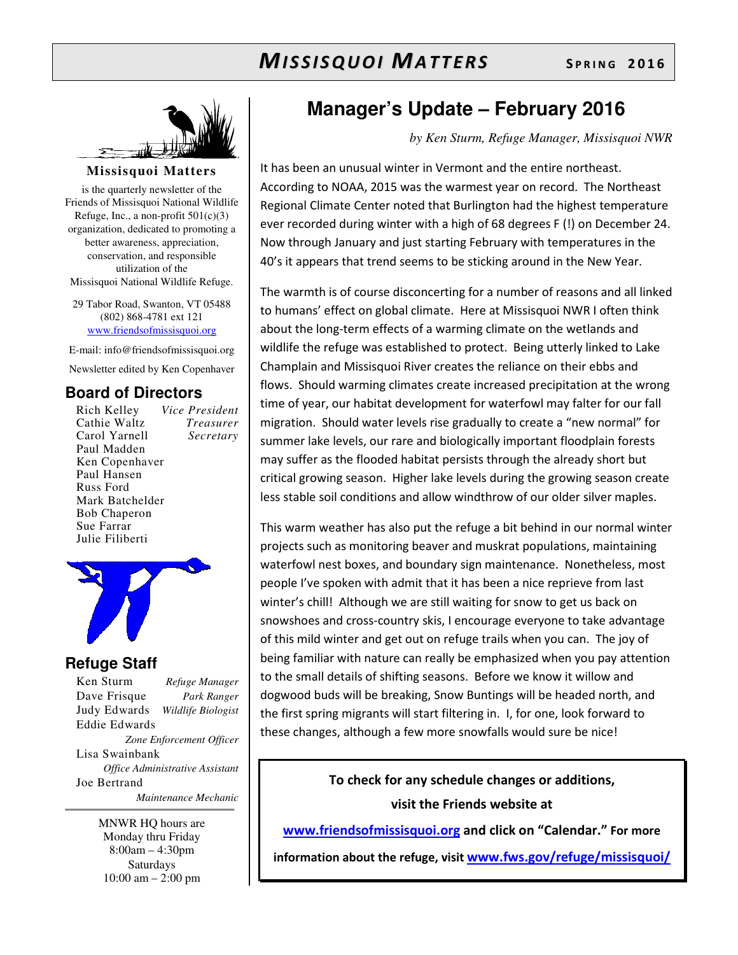

**Missisquoi Matters** 

is the quarterly newsletter of the Friends of Missisquoi National Wildlife Refuge, Inc., a non-profit  $501(c)(3)$ organization, dedicated to promoting a better awareness, appreciation, conservation, and responsible utilization of the Missisquoi National Wildlife Refuge.

29 Tabor Road, Swanton, VT 05488 (802) 868-4781 ext 121 www.friendsofmissisquoi.org

E-mail: info@friendsofmissisquoi.org Newsletter edited by Ken Copenhaver

# **Board of Directors**

Rich Kelley *Vice President* Cathie Waltz *Treasurer* Carol Yarnell Paul Madden Ken Copenhaver Paul Hansen Russ Ford Mark Batchelder Bob Chaperon Sue Farrar Julie Filiberti





# **Refuge Staff**

Ken Sturm *Refuge Manager* Dave Frisque *Park Ranger* Judy Edwards *Wildlife Biologist* Eddie Edwards *Zone Enforcement Officer* Lisa Swainbank *Office Administrative Assistant*  Joe Bertrand  *Maintenance Mechanic*

> MNWR HQ hours are Monday thru Friday 8:00am – 4:30pm Saturdays 10:00 am – 2:00 pm

# **Manager's Update – February 2016**

*by Ken Sturm, Refuge Manager, Missisquoi NWR* 

It has been an unusual winter in Vermont and the entire northeast. According to NOAA, 2015 was the warmest year on record. The Northeast Regional Climate Center noted that Burlington had the highest temperature ever recorded during winter with a high of 68 degrees F (!) on December 24. Now through January and just starting February with temperatures in the 40's it appears that trend seems to be sticking around in the New Year.

The warmth is of course disconcerting for a number of reasons and all linked to humans' effect on global climate. Here at Missisquoi NWR I often think about the long-term effects of a warming climate on the wetlands and wildlife the refuge was established to protect. Being utterly linked to Lake Champlain and Missisquoi River creates the reliance on their ebbs and flows. Should warming climates create increased precipitation at the wrong time of year, our habitat development for waterfowl may falter for our fall migration. Should water levels rise gradually to create a "new normal" for summer lake levels, our rare and biologically important floodplain forests may suffer as the flooded habitat persists through the already short but critical growing season. Higher lake levels during the growing season create less stable soil conditions and allow windthrow of our older silver maples.

This warm weather has also put the refuge a bit behind in our normal winter projects such as monitoring beaver and muskrat populations, maintaining waterfowl nest boxes, and boundary sign maintenance. Nonetheless, most people I've spoken with admit that it has been a nice reprieve from last winter's chill! Although we are still waiting for snow to get us back on snowshoes and cross-country skis, I encourage everyone to take advantage of this mild winter and get out on refuge trails when you can. The joy of being familiar with nature can really be emphasized when you pay attention to the small details of shifting seasons. Before we know it willow and dogwood buds will be breaking, Snow Buntings will be headed north, and the first spring migrants will start filtering in. I, for one, look forward to these changes, although a few more snowfalls would sure be nice!

> **To check for any schedule changes or additions, visit the Friends website at**

**www.friendsofmissisquoi.org and click on "Calendar." For more** 

**information about the refuge, visit www.fws.gov/refuge/missisquoi/**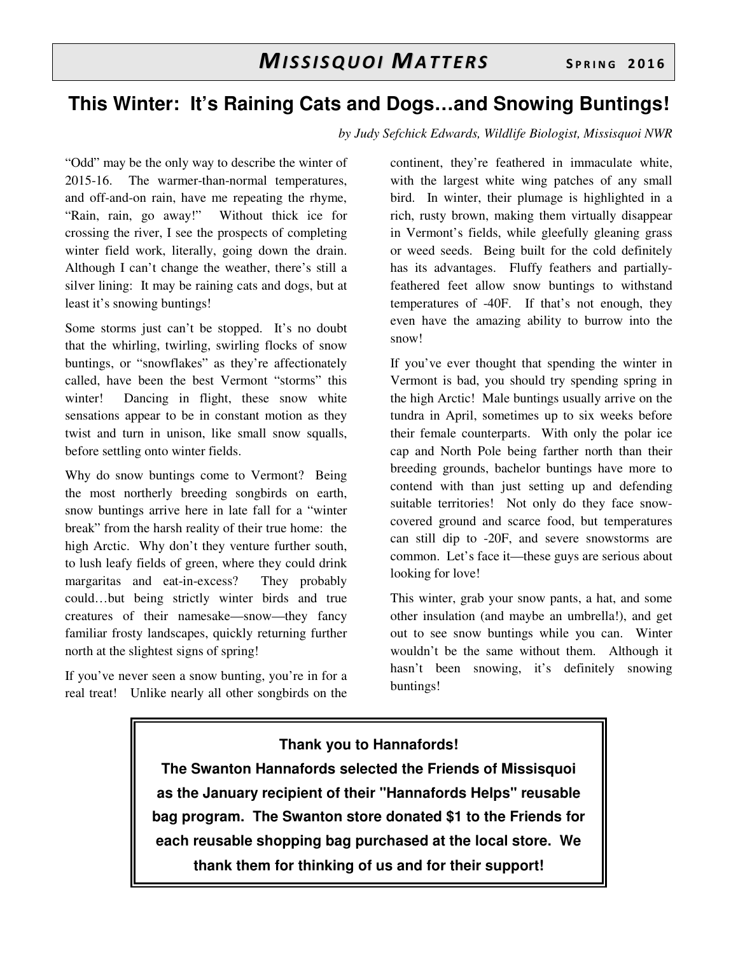# **This Winter: It's Raining Cats and Dogs…and Snowing Buntings!**

*by Judy Sefchick Edwards, Wildlife Biologist, Missisquoi NWR* 

"Odd" may be the only way to describe the winter of 2015-16. The warmer-than-normal temperatures, and off-and-on rain, have me repeating the rhyme, "Rain, rain, go away!" Without thick ice for crossing the river, I see the prospects of completing winter field work, literally, going down the drain. Although I can't change the weather, there's still a silver lining: It may be raining cats and dogs, but at least it's snowing buntings!

Some storms just can't be stopped. It's no doubt that the whirling, twirling, swirling flocks of snow buntings, or "snowflakes" as they're affectionately called, have been the best Vermont "storms" this winter! Dancing in flight, these snow white sensations appear to be in constant motion as they twist and turn in unison, like small snow squalls, before settling onto winter fields.

Why do snow buntings come to Vermont? Being the most northerly breeding songbirds on earth, snow buntings arrive here in late fall for a "winter break" from the harsh reality of their true home: the high Arctic. Why don't they venture further south, to lush leafy fields of green, where they could drink margaritas and eat-in-excess? They probably could…but being strictly winter birds and true creatures of their namesake—snow—they fancy familiar frosty landscapes, quickly returning further north at the slightest signs of spring!

If you've never seen a snow bunting, you're in for a real treat! Unlike nearly all other songbirds on the

continent, they're feathered in immaculate white, with the largest white wing patches of any small bird. In winter, their plumage is highlighted in a rich, rusty brown, making them virtually disappear in Vermont's fields, while gleefully gleaning grass or weed seeds. Being built for the cold definitely has its advantages. Fluffy feathers and partiallyfeathered feet allow snow buntings to withstand temperatures of -40F. If that's not enough, they even have the amazing ability to burrow into the snow!

If you've ever thought that spending the winter in Vermont is bad, you should try spending spring in the high Arctic! Male buntings usually arrive on the tundra in April, sometimes up to six weeks before their female counterparts. With only the polar ice cap and North Pole being farther north than their breeding grounds, bachelor buntings have more to contend with than just setting up and defending suitable territories! Not only do they face snowcovered ground and scarce food, but temperatures can still dip to -20F, and severe snowstorms are common. Let's face it—these guys are serious about looking for love!

This winter, grab your snow pants, a hat, and some other insulation (and maybe an umbrella!), and get out to see snow buntings while you can. Winter wouldn't be the same without them. Although it hasn't been snowing, it's definitely snowing buntings!

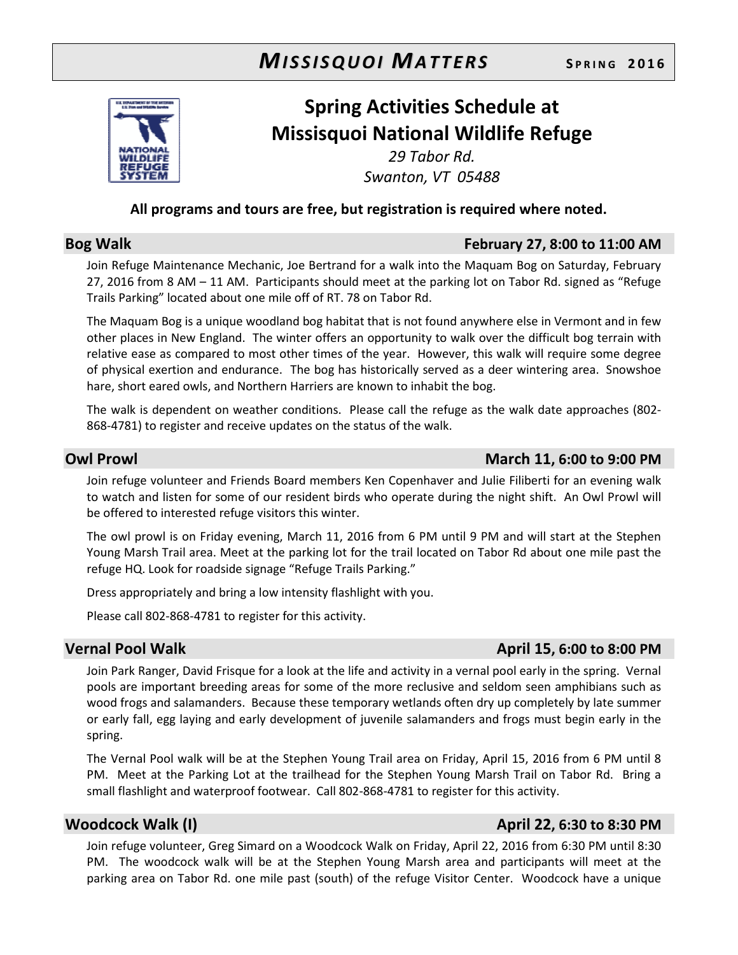

# **Spring Activities Schedule at Missisquoi National Wildlife Refuge**

*29 Tabor Rd. Swanton, VT 05488* 

### **All programs and tours are free, but registration is required where noted.**

### **Bog Walk February 27, 8:00 to 11:00 AM**

Join Refuge Maintenance Mechanic, Joe Bertrand for a walk into the Maquam Bog on Saturday, February 27, 2016 from 8 AM – 11 AM. Participants should meet at the parking lot on Tabor Rd. signed as "Refuge Trails Parking" located about one mile off of RT. 78 on Tabor Rd.

The Maquam Bog is a unique woodland bog habitat that is not found anywhere else in Vermont and in few other places in New England. The winter offers an opportunity to walk over the difficult bog terrain with relative ease as compared to most other times of the year. However, this walk will require some degree of physical exertion and endurance. The bog has historically served as a deer wintering area. Snowshoe hare, short eared owls, and Northern Harriers are known to inhabit the bog.

The walk is dependent on weather conditions. Please call the refuge as the walk date approaches (802- 868-4781) to register and receive updates on the status of the walk.

### **Owl Prowl March 11, 6:00 to 9:00 PM**

Join refuge volunteer and Friends Board members Ken Copenhaver and Julie Filiberti for an evening walk to watch and listen for some of our resident birds who operate during the night shift. An Owl Prowl will be offered to interested refuge visitors this winter.

The owl prowl is on Friday evening, March 11, 2016 from 6 PM until 9 PM and will start at the Stephen Young Marsh Trail area. Meet at the parking lot for the trail located on Tabor Rd about one mile past the refuge HQ. Look for roadside signage "Refuge Trails Parking."

Dress appropriately and bring a low intensity flashlight with you.

Please call 802-868-4781 to register for this activity.

# **Vernal Pool Walk April 15, 6:00 to 8:00 PM**

Join Park Ranger, David Frisque for a look at the life and activity in a vernal pool early in the spring. Vernal pools are important breeding areas for some of the more reclusive and seldom seen amphibians such as wood frogs and salamanders. Because these temporary wetlands often dry up completely by late summer or early fall, egg laying and early development of juvenile salamanders and frogs must begin early in the spring.

The Vernal Pool walk will be at the Stephen Young Trail area on Friday, April 15, 2016 from 6 PM until 8 PM. Meet at the Parking Lot at the trailhead for the Stephen Young Marsh Trail on Tabor Rd. Bring a small flashlight and waterproof footwear. Call 802-868-4781 to register for this activity.

### **Woodcock Walk (I)** April 22, 6:30 to 8:30 PM

Join refuge volunteer, Greg Simard on a Woodcock Walk on Friday, April 22, 2016 from 6:30 PM until 8:30 PM. The woodcock walk will be at the Stephen Young Marsh area and participants will meet at the parking area on Tabor Rd. one mile past (south) of the refuge Visitor Center. Woodcock have a unique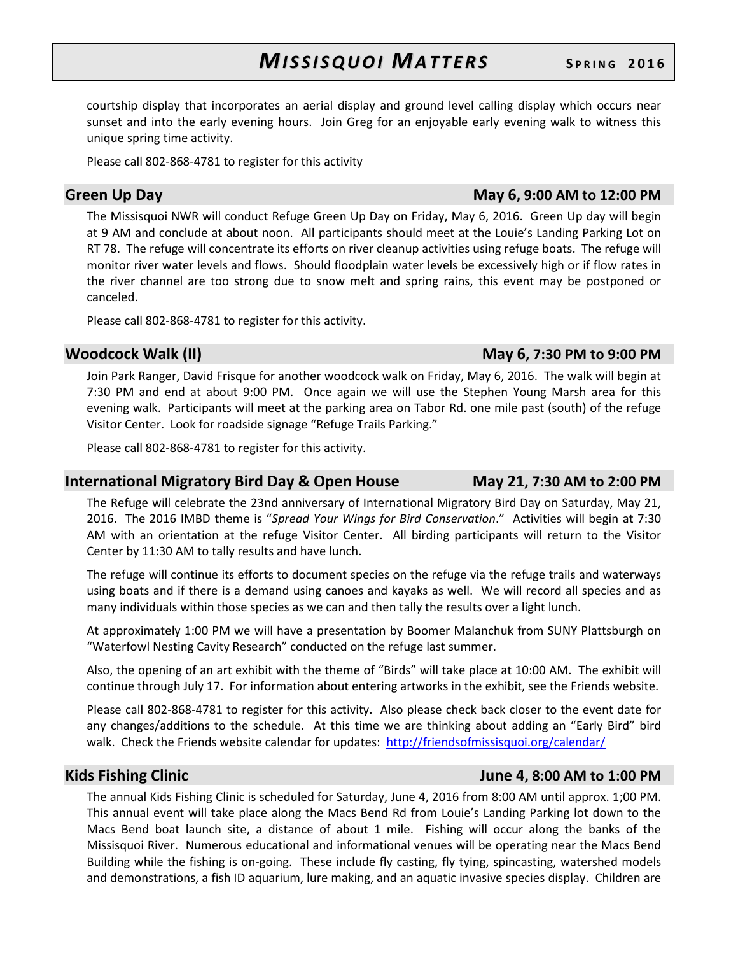courtship display that incorporates an aerial display and ground level calling display which occurs near sunset and into the early evening hours. Join Greg for an enjoyable early evening walk to witness this unique spring time activity.

Please call 802-868-4781 to register for this activity

### **Green Up Day May 6**, 9:00 AM to 12:00 PM

The Missisquoi NWR will conduct Refuge Green Up Day on Friday, May 6, 2016. Green Up day will begin at 9 AM and conclude at about noon. All participants should meet at the Louie's Landing Parking Lot on RT 78. The refuge will concentrate its efforts on river cleanup activities using refuge boats. The refuge will monitor river water levels and flows. Should floodplain water levels be excessively high or if flow rates in the river channel are too strong due to snow melt and spring rains, this event may be postponed or canceled.

Please call 802-868-4781 to register for this activity.

### **Woodcock Walk (II)** May 6, 7:30 PM to 9:00 PM

Join Park Ranger, David Frisque for another woodcock walk on Friday, May 6, 2016. The walk will begin at 7:30 PM and end at about 9:00 PM. Once again we will use the Stephen Young Marsh area for this evening walk. Participants will meet at the parking area on Tabor Rd. one mile past (south) of the refuge Visitor Center. Look for roadside signage "Refuge Trails Parking."

Please call 802-868-4781 to register for this activity.

### **International Migratory Bird Day & Open House May 21, 7:30 AM to 2:00 PM**

The Refuge will celebrate the 23nd anniversary of International Migratory Bird Day on Saturday, May 21, 2016. The 2016 IMBD theme is "*Spread Your Wings for Bird Conservation*." Activities will begin at 7:30 AM with an orientation at the refuge Visitor Center. All birding participants will return to the Visitor Center by 11:30 AM to tally results and have lunch.

The refuge will continue its efforts to document species on the refuge via the refuge trails and waterways using boats and if there is a demand using canoes and kayaks as well. We will record all species and as many individuals within those species as we can and then tally the results over a light lunch.

At approximately 1:00 PM we will have a presentation by Boomer Malanchuk from SUNY Plattsburgh on "Waterfowl Nesting Cavity Research" conducted on the refuge last summer.

Also, the opening of an art exhibit with the theme of "Birds" will take place at 10:00 AM. The exhibit will continue through July 17. For information about entering artworks in the exhibit, see the Friends website.

Please call 802-868-4781 to register for this activity. Also please check back closer to the event date for any changes/additions to the schedule. At this time we are thinking about adding an "Early Bird" bird walk. Check the Friends website calendar for updates: http://friendsofmissisquoi.org/calendar/

# **Kids Fishing Clinic Community Clinic Community Community Community Community Community Community Community Community Community Community Community Community Community Community Community Community Community Community Comm**

The annual Kids Fishing Clinic is scheduled for Saturday, June 4, 2016 from 8:00 AM until approx. 1;00 PM. This annual event will take place along the Macs Bend Rd from Louie's Landing Parking lot down to the Macs Bend boat launch site, a distance of about 1 mile. Fishing will occur along the banks of the Missisquoi River. Numerous educational and informational venues will be operating near the Macs Bend Building while the fishing is on-going. These include fly casting, fly tying, spincasting, watershed models and demonstrations, a fish ID aquarium, lure making, and an aquatic invasive species display. Children are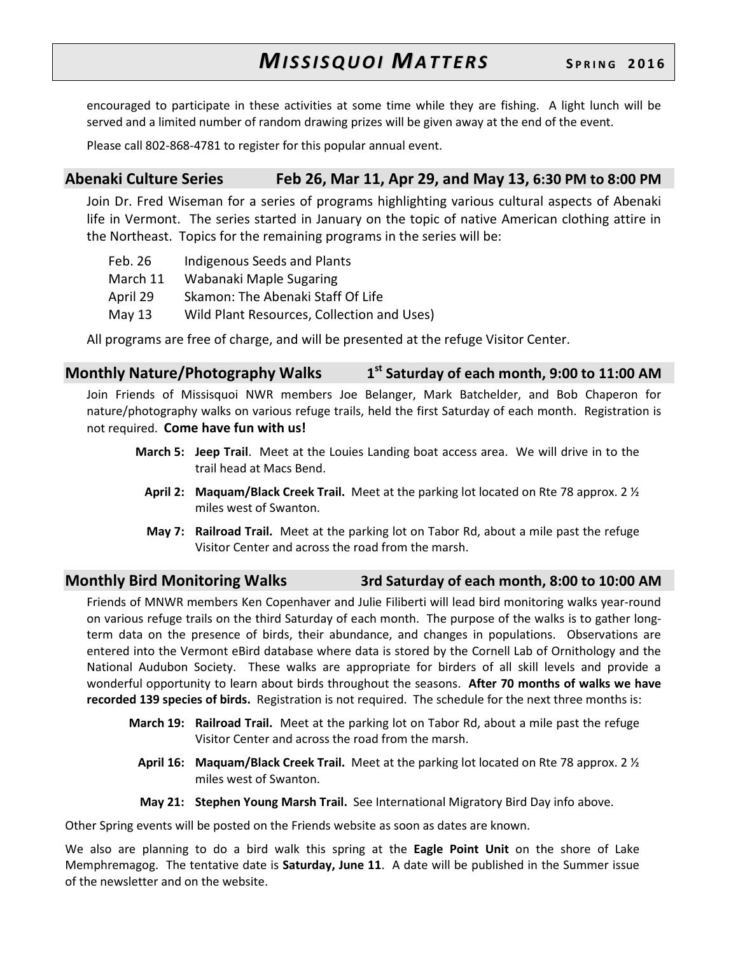encouraged to participate in these activities at some time while they are fishing. A light lunch will be served and a limited number of random drawing prizes will be given away at the end of the event.

Please call 802-868-4781 to register for this popular annual event.

# **Abenaki Culture Series Feb 26, Mar 11, Apr 29, and May 13, 6:30 PM to 8:00 PM**

Join Dr. Fred Wiseman for a series of programs highlighting various cultural aspects of Abenaki life in Vermont. The series started in January on the topic of native American clothing attire in the Northeast. Topics for the remaining programs in the series will be:

Feb. 26 Indigenous Seeds and Plants March 11 Wabanaki Maple Sugaring April 29 Skamon: The Abenaki Staff Of Life May 13 Wild Plant Resources, Collection and Uses)

All programs are free of charge, and will be presented at the refuge Visitor Center.

**Monthly Nature/Photography Walks 1 st Saturday of each month, 9:00 to 11:00 AM**

Join Friends of Missisquoi NWR members Joe Belanger, Mark Batchelder, and Bob Chaperon for nature/photography walks on various refuge trails, held the first Saturday of each month. Registration is not required. **Come have fun with us!**

- **March 5: Jeep Trail**. Meet at the Louies Landing boat access area. We will drive in to the trail head at Macs Bend.
	- **April 2: Maquam/Black Creek Trail.** Meet at the parking lot located on Rte 78 approx. 2 ½ miles west of Swanton.
	- **May 7: Railroad Trail.** Meet at the parking lot on Tabor Rd, about a mile past the refuge Visitor Center and across the road from the marsh.

# **Monthly Bird Monitoring Walks 3rd Saturday of each month, 8:00 to 10:00 AM**

Friends of MNWR members Ken Copenhaver and Julie Filiberti will lead bird monitoring walks year-round on various refuge trails on the third Saturday of each month. The purpose of the walks is to gather longterm data on the presence of birds, their abundance, and changes in populations. Observations are entered into the Vermont eBird database where data is stored by the Cornell Lab of Ornithology and the National Audubon Society. These walks are appropriate for birders of all skill levels and provide a wonderful opportunity to learn about birds throughout the seasons. **After 70 months of walks we have recorded 139 species of birds.** Registration is not required. The schedule for the next three months is:

- **March 19: Railroad Trail.** Meet at the parking lot on Tabor Rd, about a mile past the refuge Visitor Center and across the road from the marsh.
	- **April 16: Maquam/Black Creek Trail.** Meet at the parking lot located on Rte 78 approx. 2 ½ miles west of Swanton.
	- **May 21: Stephen Young Marsh Trail.** See International Migratory Bird Day info above.

Other Spring events will be posted on the Friends website as soon as dates are known.

We also are planning to do a bird walk this spring at the **Eagle Point Unit** on the shore of Lake Memphremagog. The tentative date is **Saturday, June 11**. A date will be published in the Summer issue of the newsletter and on the website.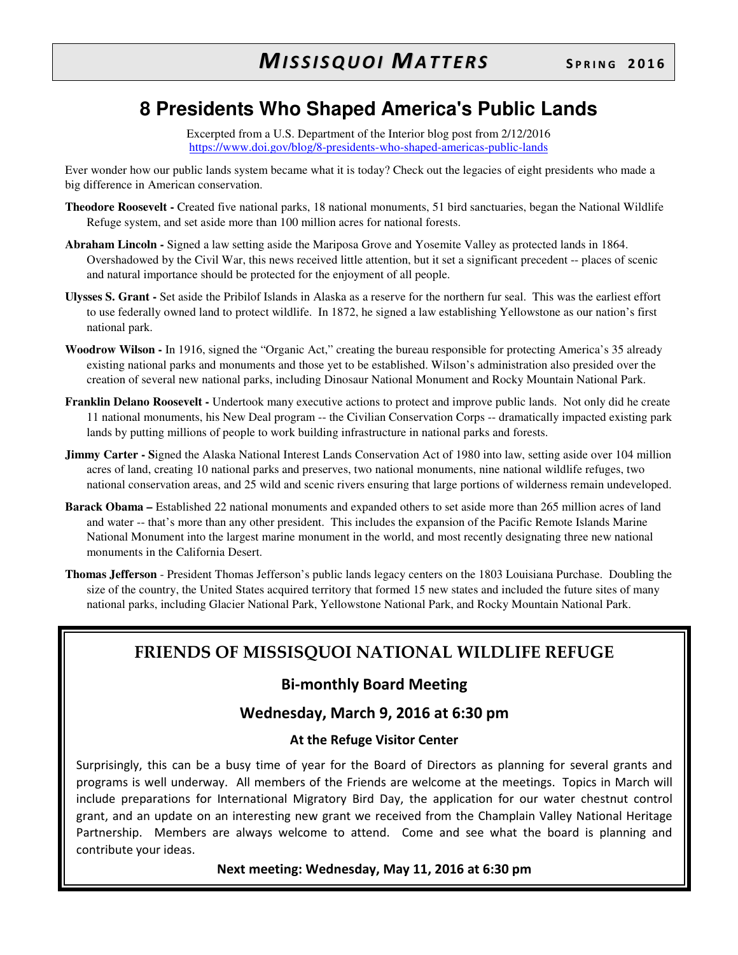# **8 Presidents Who Shaped America's Public Lands**

Excerpted from a U.S. Department of the Interior blog post from 2/12/2016 https://www.doi.gov/blog/8-presidents-who-shaped-americas-public-lands

Ever wonder how our public lands system became what it is today? Check out the legacies of eight presidents who made a big difference in American conservation.

- **Theodore Roosevelt -** Created five national parks, 18 national monuments, 51 bird sanctuaries, began the National Wildlife Refuge system, and set aside more than 100 million acres for national forests.
- **Abraham Lincoln -** Signed a law setting aside the Mariposa Grove and Yosemite Valley as protected lands in 1864. Overshadowed by the Civil War, this news received little attention, but it set a significant precedent -- places of scenic and natural importance should be protected for the enjoyment of all people.
- **Ulysses S. Grant -** Set aside the Pribilof Islands in Alaska as a reserve for the northern fur seal. This was the earliest effort to use federally owned land to protect wildlife. In 1872, he signed a law establishing Yellowstone as our nation's first national park.
- **Woodrow Wilson -** In 1916, signed the "Organic Act," creating the bureau responsible for protecting America's 35 already existing national parks and monuments and those yet to be established. Wilson's administration also presided over the creation of several new national parks, including Dinosaur National Monument and Rocky Mountain National Park.
- **Franklin Delano Roosevelt -** Undertook many executive actions to protect and improve public lands. Not only did he create 11 national monuments, his New Deal program -- the Civilian Conservation Corps -- dramatically impacted existing park lands by putting millions of people to work building infrastructure in national parks and forests.
- **Jimmy Carter Signed the Alaska National Interest Lands Conservation Act of 1980 into law, setting aside over 104 million** acres of land, creating 10 national parks and preserves, two national monuments, nine national wildlife refuges, two national conservation areas, and 25 wild and scenic rivers ensuring that large portions of wilderness remain undeveloped.
- **Barack Obama** Established 22 national monuments and expanded others to set aside more than 265 million acres of land and water -- that's more than any other president. This includes the expansion of the Pacific Remote Islands Marine National Monument into the largest marine monument in the world, and most recently designating three new national monuments in the California Desert.
- **Thomas Jefferson** President Thomas Jefferson's public lands legacy centers on the 1803 Louisiana Purchase. Doubling the size of the country, the United States acquired territory that formed 15 new states and included the future sites of many national parks, including Glacier National Park, Yellowstone National Park, and Rocky Mountain National Park.

# **FRIENDS OF MISSISQUOI NATIONAL WILDLIFE REFUGE**

# **Bi-monthly Board Meeting**

# **Wednesday, March 9, 2016 at 6:30 pm**

### **At the Refuge Visitor Center**

Surprisingly, this can be a busy time of year for the Board of Directors as planning for several grants and programs is well underway. All members of the Friends are welcome at the meetings. Topics in March will include preparations for International Migratory Bird Day, the application for our water chestnut control grant, and an update on an interesting new grant we received from the Champlain Valley National Heritage Partnership. Members are always welcome to attend. Come and see what the board is planning and contribute your ideas.

### **Next meeting: Wednesday, May 11, 2016 at 6:30 pm**